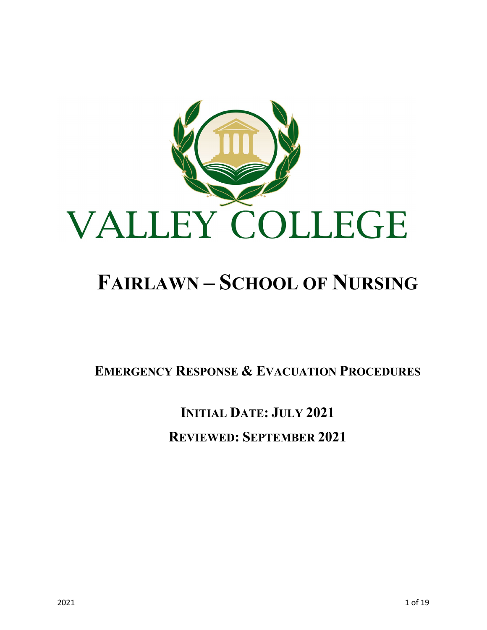

# **FAIRLAWN – SCHOOL OF NURSING**

**EMERGENCY RESPONSE & EVACUATION PROCEDURES**

**INITIAL DATE: JULY 2021 REVIEWED: SEPTEMBER 2021**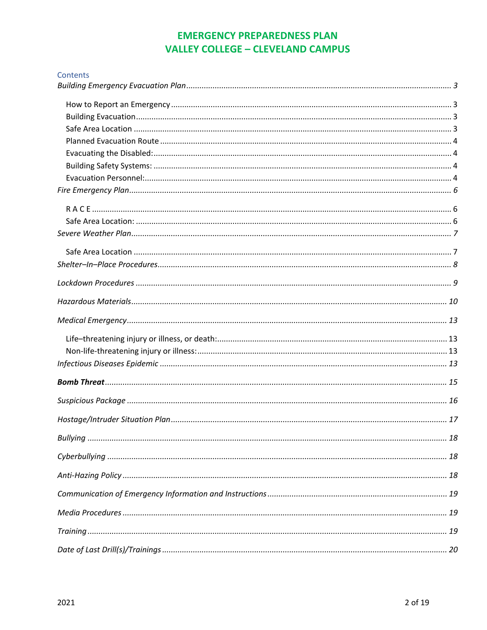### **EMERGENCY PREPAREDNESS PLAN VALLEY COLLEGE - CLEVELAND CAMPUS**

| Contents |  |
|----------|--|
|          |  |
|          |  |
|          |  |
|          |  |
|          |  |
|          |  |
|          |  |
|          |  |
|          |  |
|          |  |
|          |  |
|          |  |
|          |  |
|          |  |
|          |  |
|          |  |
|          |  |
|          |  |
|          |  |
|          |  |
|          |  |
|          |  |
|          |  |
|          |  |
|          |  |
|          |  |
|          |  |
|          |  |
|          |  |
|          |  |
|          |  |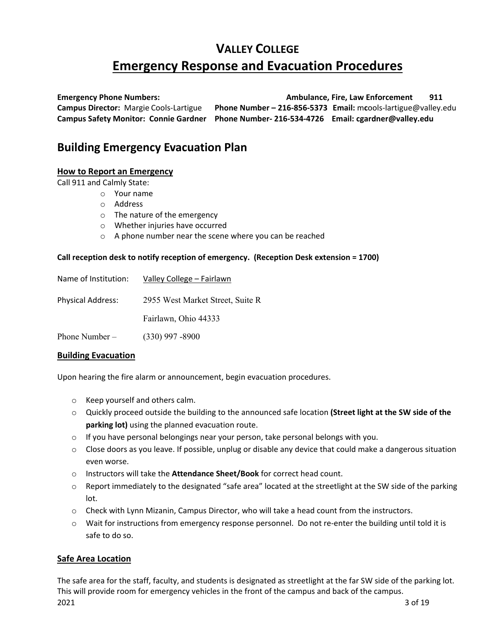# **VALLEY COLLEGE Emergency Response and Evacuation Procedures**

**Emergency Phone Numbers: Ambulance, Fire, Law Enforcement 911 Campus Director:** Margie Cools-Lartigue **Phone Number – 216-856-5373 Email:** m**c**ools-lartigue@valley.edu **Campus Safety Monitor: Connie Gardner Phone Number- 216-534-4726 Email: cgardner@valley.edu**

### <span id="page-2-0"></span>**Building Emergency Evacuation Plan**

### <span id="page-2-1"></span>**How to Report an Emergency**

Call 911 and Calmly State:

- o Your name
	- o Address
	- o The nature of the emergency
	- o Whether injuries have occurred
	- o A phone number near the scene where you can be reached

### **Call reception desk to notify reception of emergency. (Reception Desk extension = 1700)**

| Name of Institution:     | Valley College - Fairlawn        |
|--------------------------|----------------------------------|
| <b>Physical Address:</b> | 2955 West Market Street, Suite R |
|                          | Fairlawn, Ohio 44333             |
| Phone Number $-$         | $(330)$ 997 -8900                |

### <span id="page-2-2"></span>**Building Evacuation**

Upon hearing the fire alarm or announcement, begin evacuation procedures.

- o Keep yourself and others calm.
- o Quickly proceed outside the building to the announced safe location **(Street light at the SW side of the parking lot)** using the planned evacuation route.
- $\circ$  If you have personal belongings near your person, take personal belongs with you.
- $\circ$  Close doors as you leave. If possible, unplug or disable any device that could make a dangerous situation even worse.
- o Instructors will take the **Attendance Sheet/Book** for correct head count.
- $\circ$  Report immediately to the designated "safe area" located at the streetlight at the SW side of the parking lot.
- o Check with Lynn Mizanin, Campus Director, who will take a head count from the instructors.
- $\circ$  Wait for instructions from emergency response personnel. Do not re-enter the building until told it is safe to do so.

### <span id="page-2-3"></span>**Safe Area Location**

2021 3 of 19 The safe area for the staff, faculty, and students is designated as streetlight at the far SW side of the parking lot. This will provide room for emergency vehicles in the front of the campus and back of the campus.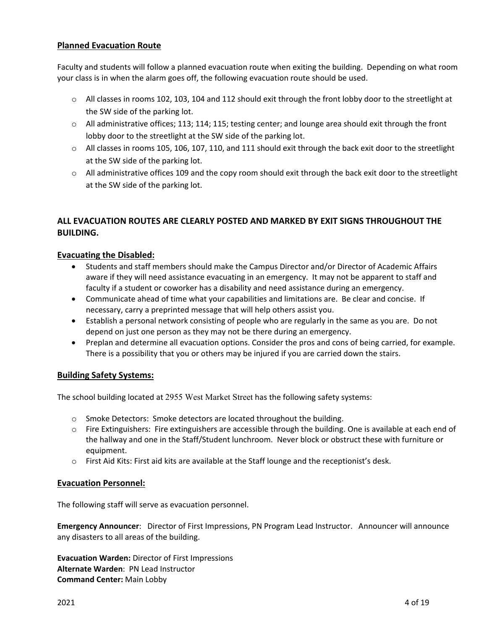### <span id="page-3-0"></span>**Planned Evacuation Route**

Faculty and students will follow a planned evacuation route when exiting the building. Depending on what room your class is in when the alarm goes off, the following evacuation route should be used.

- $\circ$  All classes in rooms 102, 103, 104 and 112 should exit through the front lobby door to the streetlight at the SW side of the parking lot.
- $\circ$  All administrative offices; 113; 114; 115; testing center; and lounge area should exit through the front lobby door to the streetlight at the SW side of the parking lot.
- $\circ$  All classes in rooms 105, 106, 107, 110, and 111 should exit through the back exit door to the streetlight at the SW side of the parking lot.
- o All administrative offices 109 and the copy room should exit through the back exit door to the streetlight at the SW side of the parking lot.

### **ALL EVACUATION ROUTES ARE CLEARLY POSTED AND MARKED BY EXIT SIGNS THROUGHOUT THE BUILDING.**

### <span id="page-3-1"></span>**Evacuating the Disabled:**

- Students and staff members should make the Campus Director and/or Director of Academic Affairs aware if they will need assistance evacuating in an emergency. It may not be apparent to staff and faculty if a student or coworker has a disability and need assistance during an emergency.
- Communicate ahead of time what your capabilities and limitations are. Be clear and concise. If necessary, carry a preprinted message that will help others assist you.
- Establish a personal network consisting of people who are regularly in the same as you are. Do not depend on just one person as they may not be there during an emergency.
- Preplan and determine all evacuation options. Consider the pros and cons of being carried, for example. There is a possibility that you or others may be injured if you are carried down the stairs.

### <span id="page-3-2"></span>**Building Safety Systems:**

The school building located at 2955 West Market Street has the following safety systems:

- o Smoke Detectors: Smoke detectors are located throughout the building.
- o Fire Extinguishers: Fire extinguishers are accessible through the building. One is available at each end of the hallway and one in the Staff/Student lunchroom. Never block or obstruct these with furniture or equipment.
- $\circ$  First Aid Kits: First aid kits are available at the Staff lounge and the receptionist's desk.

### <span id="page-3-3"></span>**Evacuation Personnel:**

The following staff will serve as evacuation personnel.

**Emergency Announcer**: Director of First Impressions, PN Program Lead Instructor. Announcer will announce any disasters to all areas of the building.

**Evacuation Warden:** Director of First Impressions **Alternate Warden**: PN Lead Instructor **Command Center:** Main Lobby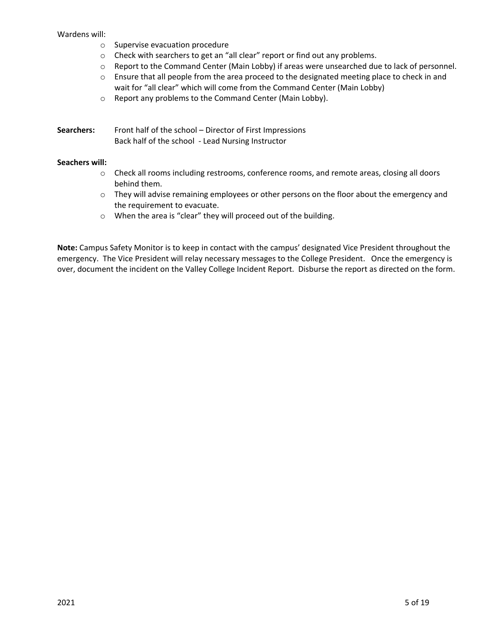#### Wardens will:

- o Supervise evacuation procedure
- o Check with searchers to get an "all clear" report or find out any problems.
- o Report to the Command Center (Main Lobby) if areas were unsearched due to lack of personnel.
- $\circ$  Ensure that all people from the area proceed to the designated meeting place to check in and wait for "all clear" which will come from the Command Center (Main Lobby)
- o Report any problems to the Command Center (Main Lobby).

**Searchers:** Front half of the school – Director of First Impressions Back half of the school - Lead Nursing Instructor

### **Seachers will:**

- o Check all rooms including restrooms, conference rooms, and remote areas, closing all doors behind them.
- $\circ$  They will advise remaining employees or other persons on the floor about the emergency and the requirement to evacuate.
- o When the area is "clear" they will proceed out of the building.

**Note:** Campus Safety Monitor is to keep in contact with the campus' designated Vice President throughout the emergency. The Vice President will relay necessary messages to the College President. Once the emergency is over, document the incident on the Valley College Incident Report. Disburse the report as directed on the form.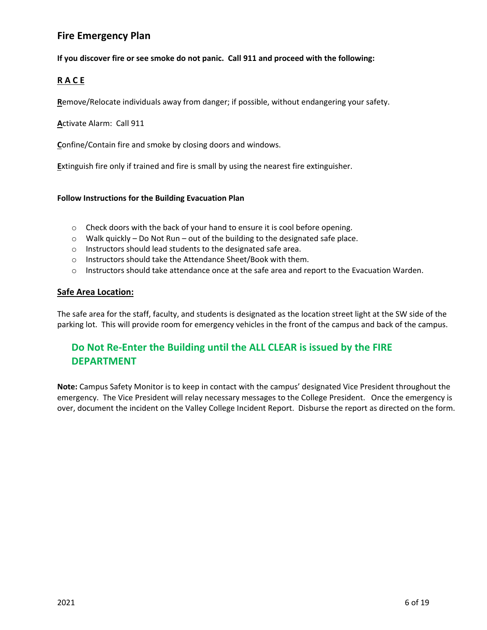### <span id="page-5-0"></span>**Fire Emergency Plan**

### **If you discover fire or see smoke do not panic. Call 911 and proceed with the following:**

### <span id="page-5-1"></span>**R A C E**

**R**emove/Relocate individuals away from danger; if possible, without endangering your safety.

**A**ctivate Alarm: Call 911

**C**onfine/Contain fire and smoke by closing doors and windows.

**E**xtinguish fire only if trained and fire is small by using the nearest fire extinguisher.

#### **Follow Instructions for the Building Evacuation Plan**

- o Check doors with the back of your hand to ensure it is cool before opening.
- o Walk quickly Do Not Run out of the building to the designated safe place.
- o Instructors should lead students to the designated safe area.
- o Instructors should take the Attendance Sheet/Book with them.
- $\circ$  Instructors should take attendance once at the safe area and report to the Evacuation Warden.

### <span id="page-5-2"></span>**Safe Area Location:**

The safe area for the staff, faculty, and students is designated as the location street light at the SW side of the parking lot. This will provide room for emergency vehicles in the front of the campus and back of the campus.

### **Do Not Re-Enter the Building until the ALL CLEAR is issued by the FIRE DEPARTMENT**

**Note:** Campus Safety Monitor is to keep in contact with the campus' designated Vice President throughout the emergency. The Vice President will relay necessary messages to the College President. Once the emergency is over, document the incident on the Valley College Incident Report. Disburse the report as directed on the form.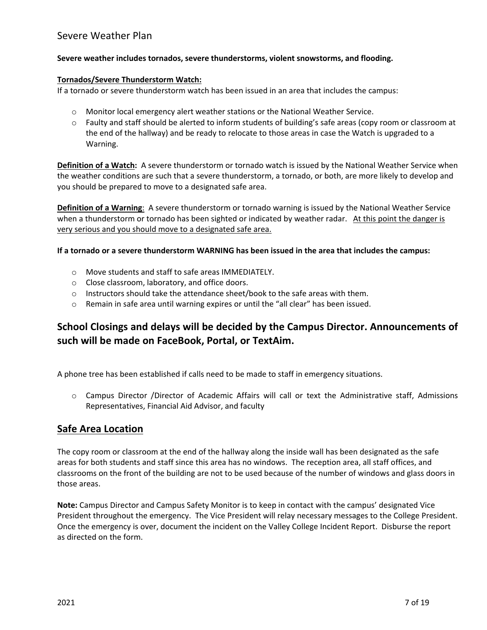### <span id="page-6-0"></span>Severe Weather Plan

#### **Severe weather includes tornados, severe thunderstorms, violent snowstorms, and flooding.**

#### **Tornados/Severe Thunderstorm Watch:**

If a tornado or severe thunderstorm watch has been issued in an area that includes the campus:

- $\circ$  Monitor local emergency alert weather stations or the National Weather Service.
- o Faulty and staff should be alerted to inform students of building's safe areas (copy room or classroom at the end of the hallway) and be ready to relocate to those areas in case the Watch is upgraded to a Warning.

**Definition of a Watch:** A severe thunderstorm or tornado watch is issued by the National Weather Service when the weather conditions are such that a severe thunderstorm, a tornado, or both, are more likely to develop and you should be prepared to move to a designated safe area.

**Definition of a Warning**: A severe thunderstorm or tornado warning is issued by the National Weather Service when a thunderstorm or tornado has been sighted or indicated by weather radar. At this point the danger is very serious and you should move to a designated safe area.

**If a tornado or a severe thunderstorm WARNING has been issued in the area that includes the campus:**

- o Move students and staff to safe areas IMMEDIATELY.
- o Close classroom, laboratory, and office doors.
- $\circ$  Instructors should take the attendance sheet/book to the safe areas with them.
- $\circ$  Remain in safe area until warning expires or until the "all clear" has been issued.

### **School Closings and delays will be decided by the Campus Director. Announcements of such will be made on FaceBook, Portal, or TextAim.**

A phone tree has been established if calls need to be made to staff in emergency situations.

o Campus Director /Director of Academic Affairs will call or text the Administrative staff, Admissions Representatives, Financial Aid Advisor, and faculty

### <span id="page-6-1"></span>**Safe Area Location**

The copy room or classroom at the end of the hallway along the inside wall has been designated as the safe areas for both students and staff since this area has no windows. The reception area, all staff offices, and classrooms on the front of the building are not to be used because of the number of windows and glass doors in those areas.

**Note:** Campus Director and Campus Safety Monitor is to keep in contact with the campus' designated Vice President throughout the emergency. The Vice President will relay necessary messages to the College President. Once the emergency is over, document the incident on the Valley College Incident Report. Disburse the report as directed on the form.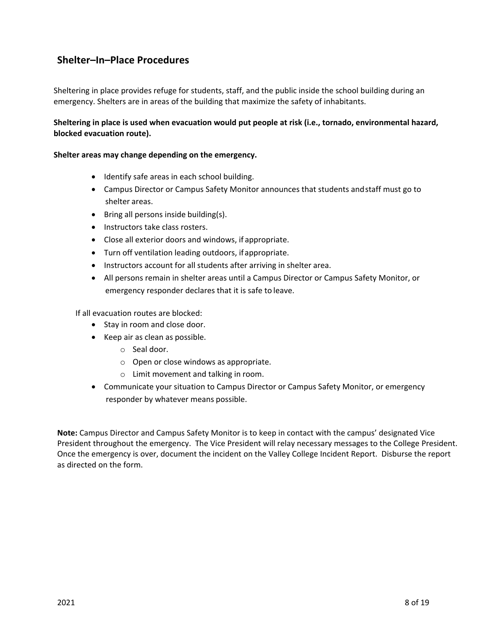### <span id="page-7-0"></span>**Shelter–In–Place Procedures**

Sheltering in place provides refuge for students, staff, and the public inside the school building during an emergency. Shelters are in areas of the building that maximize the safety of inhabitants.

### **Sheltering in place is used when evacuation would put people at risk (i.e., tornado, environmental hazard, blocked evacuation route).**

### **Shelter areas may change depending on the emergency.**

- Identify safe areas in each school building.
- Campus Director or Campus Safety Monitor announces that students andstaff must go to shelter areas.
- Bring all persons inside building(s).
- Instructors take class rosters.
- Close all exterior doors and windows, if appropriate.
- Turn off ventilation leading outdoors, ifappropriate.
- Instructors account for all students after arriving in shelter area.
- All persons remain in shelter areas until a Campus Director or Campus Safety Monitor, or emergency responder declares that it is safe to leave.

If all evacuation routes are blocked:

- Stay in room and close door.
- Keep air as clean as possible.
	- o Seal door.
	- o Open or close windows as appropriate.
	- o Limit movement and talking in room.
- Communicate your situation to Campus Director or Campus Safety Monitor, or emergency responder by whatever means possible.

**Note:** Campus Director and Campus Safety Monitor is to keep in contact with the campus' designated Vice President throughout the emergency. The Vice President will relay necessary messages to the College President. Once the emergency is over, document the incident on the Valley College Incident Report. Disburse the report as directed on the form.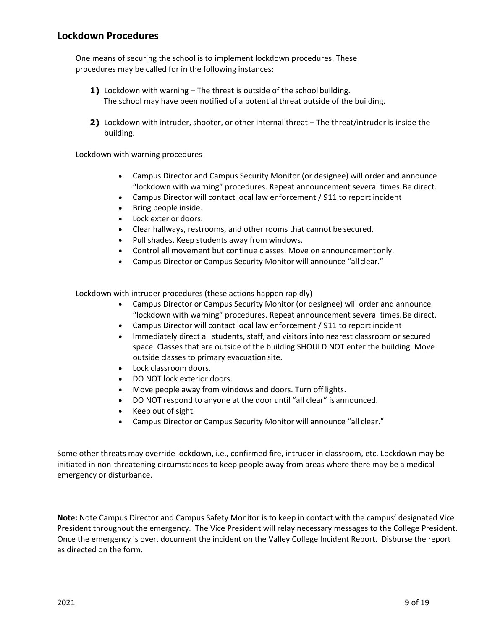<span id="page-8-0"></span>One means of securing the school is to implement lockdown procedures. These procedures may be called for in the following instances:

- **1)** Lockdown with warning The threat is outside of the school building. The school may have been notified of a potential threat outside of the building.
- **2)** Lockdown with intruder, shooter, or other internal threat The threat/intruder is inside the building.

Lockdown with warning procedures

- Campus Director and Campus Security Monitor (or designee) will order and announce "lockdown with warning" procedures. Repeat announcement several times.Be direct.
- Campus Director will contact local law enforcement / 911 to report incident
- Bring people inside.
- Lock exterior doors.
- Clear hallways, restrooms, and other rooms that cannot be secured.
- Pull shades. Keep students away from windows.
- Control all movement but continue classes. Move on announcementonly.
- Campus Director or Campus Security Monitor will announce "allclear."

Lockdown with intruder procedures (these actions happen rapidly)

- Campus Director or Campus Security Monitor (or designee) will order and announce "lockdown with warning" procedures. Repeat announcement several times.Be direct.
- Campus Director will contact local law enforcement / 911 to report incident
- Immediately direct all students, staff, and visitors into nearest classroom or secured space. Classes that are outside of the building SHOULD NOT enter the building. Move outside classes to primary evacuation site.
- Lock classroom doors.
- DO NOT lock exterior doors.
- Move people away from windows and doors. Turn off lights.
- DO NOT respond to anyone at the door until "all clear" is announced.
- Keep out of sight.
- Campus Director or Campus Security Monitor will announce "all clear."

Some other threats may override lockdown, i.e., confirmed fire, intruder in classroom, etc. Lockdown may be initiated in non-threatening circumstances to keep people away from areas where there may be a medical emergency or disturbance.

**Note:** Note Campus Director and Campus Safety Monitor is to keep in contact with the campus' designated Vice President throughout the emergency. The Vice President will relay necessary messages to the College President. Once the emergency is over, document the incident on the Valley College Incident Report. Disburse the report as directed on the form.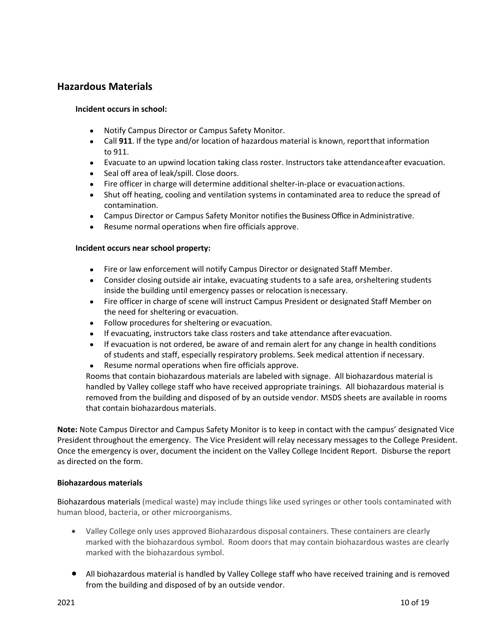### <span id="page-9-0"></span>**Hazardous Materials**

### **Incident occurs in school:**

- Notify Campus Director or Campus Safety Monitor.
- Call **911**. If the type and/or location of hazardous material is known, reportthat information to 911.
- Evacuate to an upwind location taking class roster. Instructors take attendanceafter evacuation.
- Seal off area of leak/spill. Close doors.
- Fire officer in charge will determine additional shelter-in-place or evacuationactions.
- Shut off heating, cooling and ventilation systems in contaminated area to reduce the spread of contamination.
- Campus Director or Campus Safety Monitor notifies the Business Office in Administrative.
- Resume normal operations when fire officials approve.

### **Incident occurs near school property:**

- Fire or law enforcement will notify Campus Director or designated Staff Member.
- Consider closing outside air intake, evacuating students to a safe area, orsheltering students inside the building until emergency passes or relocation isnecessary.
- Fire officer in charge of scene will instruct Campus President or designated Staff Member on the need for sheltering or evacuation.
- Follow procedures for sheltering or evacuation.
- If evacuating, instructors take class rosters and take attendance after evacuation.
- If evacuation is not ordered, be aware of and remain alert for any change in health conditions of students and staff, especially respiratory problems. Seek medical attention if necessary.
- Resume normal operations when fire officials approve.

Rooms that contain biohazardous materials are labeled with signage. All biohazardous material is handled by Valley college staff who have received appropriate trainings. All biohazardous material is removed from the building and disposed of by an outside vendor. MSDS sheets are available in rooms that contain biohazardous materials.

**Note:** Note Campus Director and Campus Safety Monitor is to keep in contact with the campus' designated Vice President throughout the emergency. The Vice President will relay necessary messages to the College President. Once the emergency is over, document the incident on the Valley College Incident Report. Disburse the report as directed on the form.

### **Biohazardous materials**

Biohazardous materials (medical waste) may include things like used syringes or other tools contaminated with human blood, bacteria, or other microorganisms.

- Valley College only uses approved Biohazardous disposal containers. These containers are clearly marked with the biohazardous symbol. Room doors that may contain biohazardous wastes are clearly marked with the biohazardous symbol.
- All biohazardous material is handled by Valley College staff who have received training and is removed from the building and disposed of by an outside vendor.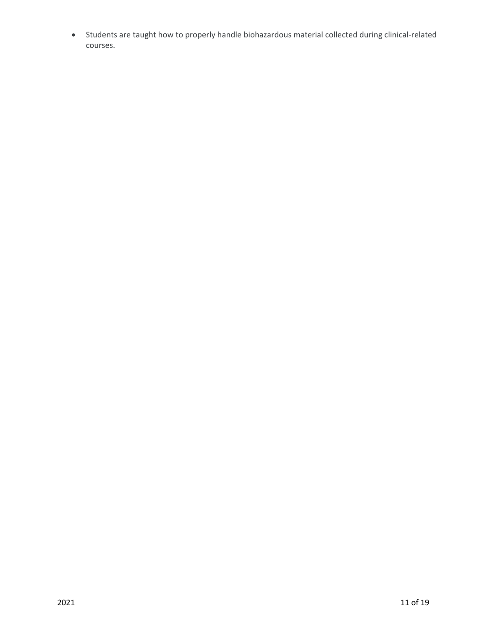• Students are taught how to properly handle biohazardous material collected during clinical-related courses.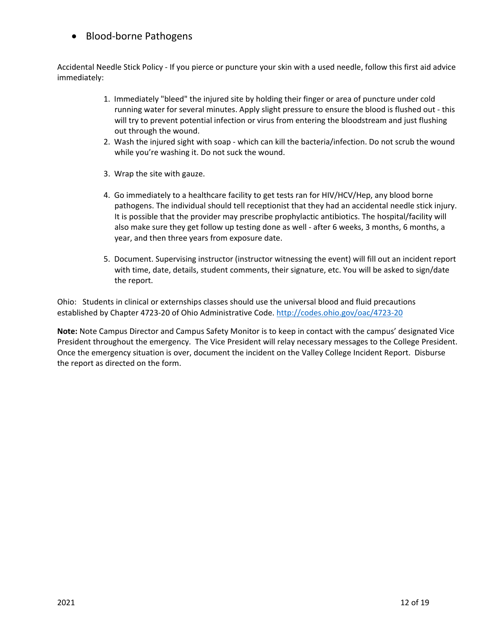### • Blood-borne Pathogens

Accidental Needle Stick Policy - If you pierce or puncture your skin with a used needle, follow this first aid advice immediately:

- 1. Immediately "bleed" the injured site by holding their finger or area of puncture under cold running water for several minutes. Apply slight pressure to ensure the blood is flushed out - this will try to prevent potential infection or virus from entering the bloodstream and just flushing out through the wound.
- 2. Wash the injured sight with soap which can kill the bacteria/infection. Do not scrub the wound while you're washing it. Do not suck the wound.
- 3. Wrap the site with gauze.
- 4. Go immediately to a healthcare facility to get tests ran for HIV/HCV/Hep, any blood borne pathogens. The individual should tell receptionist that they had an accidental needle stick injury. It is possible that the provider may prescribe prophylactic antibiotics. The hospital/facility will also make sure they get follow up testing done as well - after 6 weeks, 3 months, 6 months, a year, and then three years from exposure date.
- 5. Document. Supervising instructor (instructor witnessing the event) will fill out an incident report with time, date, details, student comments, their signature, etc. You will be asked to sign/date the report.

Ohio: Students in clinical or externships classes should use the universal blood and fluid precautions established by Chapter 4723-20 of Ohio Administrative Code.<http://codes.ohio.gov/oac/4723-20>

**Note:** Note Campus Director and Campus Safety Monitor is to keep in contact with the campus' designated Vice President throughout the emergency. The Vice President will relay necessary messages to the College President. Once the emergency situation is over, document the incident on the Valley College Incident Report. Disburse the report as directed on the form.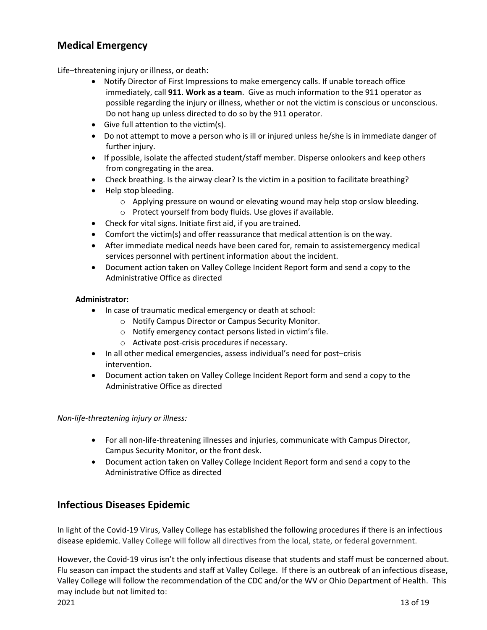### <span id="page-12-0"></span>**Medical Emergency**

<span id="page-12-1"></span>Life–threatening injury or illness, or death:

- Notify Director of First Impressions to make emergency calls. If unable toreach office immediately, call **911**. **Work as a team**. Give as much information to the 911 operator as possible regarding the injury or illness, whether or not the victim is conscious or unconscious. Do not hang up unless directed to do so by the 911 operator.
- Give full attention to the victim(s).
- Do not attempt to move a person who is ill or injured unless he/she is in immediate danger of further injury.
- If possible, isolate the affected student/staff member. Disperse onlookers and keep others from congregating in the area.
- Check breathing. Is the airway clear? Is the victim in a position to facilitate breathing?
- Help stop bleeding.
	- $\circ$  Applying pressure on wound or elevating wound may help stop orslow bleeding.
	- o Protect yourself from body fluids. Use gloves if available.
- Check for vital signs. Initiate first aid, if you are trained.
- Comfort the victim(s) and offer reassurance that medical attention is on theway.
- After immediate medical needs have been cared for, remain to assistemergency medical services personnel with pertinent information about the incident.
- Document action taken on Valley College Incident Report form and send a copy to the Administrative Office as directed

### **Administrator:**

- In case of traumatic medical emergency or death at school:
	- o Notify Campus Director or Campus Security Monitor.
	- o Notify emergency contact persons listed in victim'sfile.
	- o Activate post-crisis procedures if necessary.
- In all other medical emergencies, assess individual's need for post–crisis intervention.
- Document action taken on Valley College Incident Report form and send a copy to the Administrative Office as directed

<span id="page-12-2"></span>*Non-life-threatening injury or illness:*

- For all non-life-threatening illnesses and injuries, communicate with Campus Director, Campus Security Monitor, or the front desk.
- Document action taken on Valley College Incident Report form and send a copy to the Administrative Office as directed

### <span id="page-12-3"></span>**Infectious Diseases Epidemic**

In light of the Covid-19 Virus, Valley College has established the following procedures if there is an infectious disease epidemic. Valley College will follow all directives from the local, state, or federal government.

However, the Covid-19 virus isn't the only infectious disease that students and staff must be concerned about. Flu season can impact the students and staff at Valley College. If there is an outbreak of an infectious disease, Valley College will follow the recommendation of the CDC and/or the WV or Ohio Department of Health. This may include but not limited to: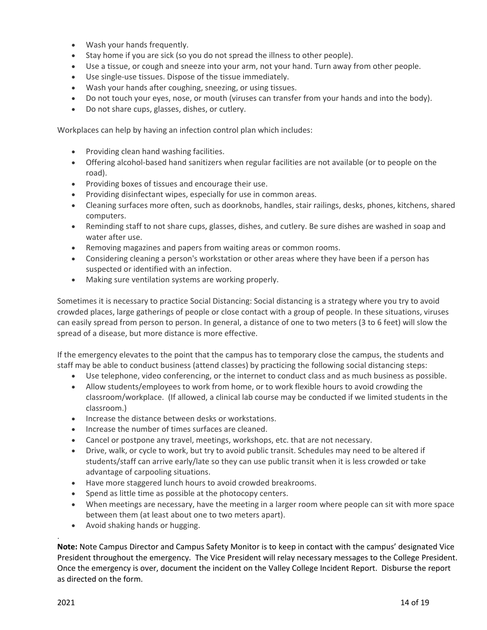- Wash your hands frequently.
- Stay home if you are sick (so you do not spread the illness to other people).
- Use a tissue, or cough and sneeze into your arm, not your hand. Turn away from other people.
- Use single-use tissues. Dispose of the tissue immediately.
- Wash your hands after coughing, sneezing, or using tissues.
- Do not touch your eyes, nose, or mouth (viruses can transfer from your hands and into the body).
- Do not share cups, glasses, dishes, or cutlery.

Workplaces can help by having an infection control plan which includes:

- Providing clean hand washing facilities.
- Offering alcohol-based hand sanitizers when regular facilities are not available (or to people on the road).
- Providing boxes of tissues and encourage their use.
- Providing disinfectant wipes, especially for use in common areas.
- Cleaning surfaces more often, such as doorknobs, handles, stair railings, desks, phones, kitchens, shared computers.
- Reminding staff to not share cups, glasses, dishes, and cutlery. Be sure dishes are washed in soap and water after use.
- Removing magazines and papers from waiting areas or common rooms.
- Considering cleaning a person's workstation or other areas where they have been if a person has suspected or identified with an infection.
- Making sure ventilation systems are working properly.

Sometimes it is necessary to practice Social Distancing: Social distancing is a strategy where you try to avoid crowded places, large gatherings of people or close contact with a group of people. In these situations, viruses can easily spread from person to person. In general, a distance of one to two meters (3 to 6 feet) will slow the spread of a disease, but more distance is more effective.

If the emergency elevates to the point that the campus has to temporary close the campus, the students and staff may be able to conduct business (attend classes) by practicing the following social distancing steps:

- Use telephone, video conferencing, or the internet to conduct class and as much business as possible.
- Allow students/employees to work from home, or to work flexible hours to avoid crowding the classroom/workplace. (If allowed, a clinical lab course may be conducted if we limited students in the classroom.)
- Increase the distance between desks or workstations.
- Increase the number of times surfaces are cleaned.
- Cancel or postpone any travel, meetings, workshops, etc. that are not necessary.
- Drive, walk, or cycle to work, but try to avoid public transit. Schedules may need to be altered if students/staff can arrive early/late so they can use public transit when it is less crowded or take advantage of carpooling situations.
- Have more staggered lunch hours to avoid crowded breakrooms.
- Spend as little time as possible at the photocopy centers.
- When meetings are necessary, have the meeting in a larger room where people can sit with more space between them (at least about one to two meters apart).
- Avoid shaking hands or hugging.

**Note:** Note Campus Director and Campus Safety Monitor is to keep in contact with the campus' designated Vice President throughout the emergency. The Vice President will relay necessary messages to the College President. Once the emergency is over, document the incident on the Valley College Incident Report. Disburse the report as directed on the form.

.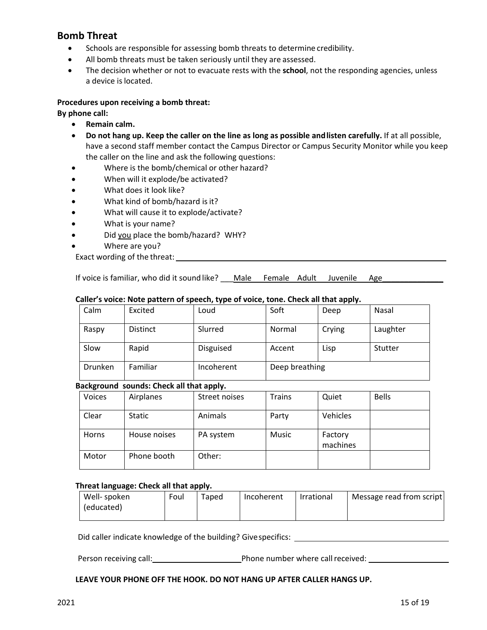### <span id="page-14-0"></span>**Bomb Threat**

- Schools are responsible for assessing bomb threats to determine credibility.
- All bomb threats must be taken seriously until they are assessed.
- The decision whether or not to evacuate rests with the **school**, not the responding agencies, unless a device is located.

### **Procedures upon receiving a bomb threat:**

#### **By phone call:**

- **Remain calm.**
- **Do not hang up. Keep the caller on the line as long as possible andlisten carefully.** If at all possible, have a second staff member contact the Campus Director or Campus Security Monitor while you keep the caller on the line and ask the following questions:
- Where is the bomb/chemical or other hazard?
- When will it explode/be activated?
- What does it look like?
- What kind of bomb/hazard is it?
- What will cause it to explode/activate?
- What is your name?
- Did you place the bomb/hazard? WHY?
- Where are you?
- Exact wording of the threat:

If voice is familiar, who did it sound like? Male Female Adult Juvenile Age

### **Caller's voice: Note pattern of speech, type of voice, tone. Check all that apply.**

| Calm           | Excited         | Loud             | Soft           | Deep   | Nasal    |
|----------------|-----------------|------------------|----------------|--------|----------|
| Raspy          | <b>Distinct</b> | Slurred          | Normal         | Crying | Laughter |
| Slow           | Rapid           | <b>Disguised</b> | Accent         | Lisp   | Stutter  |
| <b>Drunken</b> | Familiar        | Incoherent       | Deep breathing |        |          |

### **Background sounds: Check all that apply.**

| <b>Voices</b> | Airplanes     | Street noises | <b>Trains</b> | Quiet               | <b>Bells</b> |
|---------------|---------------|---------------|---------------|---------------------|--------------|
| Clear         | <b>Static</b> | Animals       | Party         | Vehicles            |              |
| Horns         | House noises  | PA system     | <b>Music</b>  | Factory<br>machines |              |
| Motor         | Phone booth   | Other:        |               |                     |              |

#### **Threat language: Check all that apply.**

| Well- spoken | Foul | Taped | Incoherent | Irrational | Message read from script |
|--------------|------|-------|------------|------------|--------------------------|
| (educated)   |      |       |            |            |                          |
|              |      |       |            |            |                          |

Did caller indicate knowledge of the building? Givespecifics:

Person receiving call: <u>Call Community Phone number</u> where call received: Letter Manusch 2014

#### **LEAVE YOUR PHONE OFF THE HOOK. DO NOT HANG UP AFTER CALLER HANGS UP.**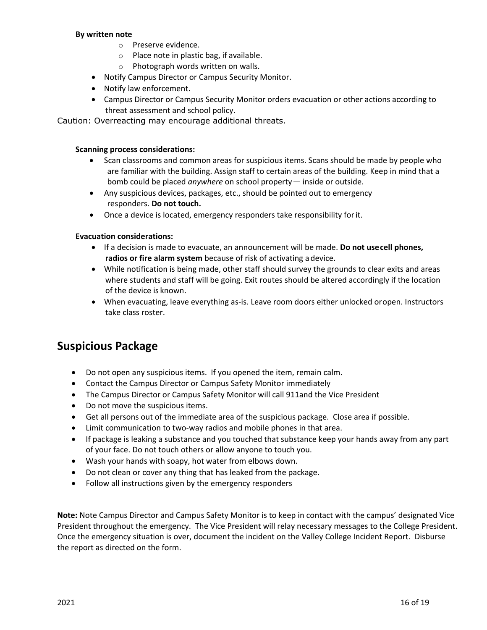### **By written note**

- o Preserve evidence.
- o Place note in plastic bag, if available.
- o Photograph words written on walls.
- Notify Campus Director or Campus Security Monitor.
- Notify law enforcement.
- Campus Director or Campus Security Monitor orders evacuation or other actions according to threat assessment and school policy.

Caution: Overreacting may encourage additional threats.

#### **Scanning process considerations:**

- Scan classrooms and common areas for suspicious items. Scans should be made by people who are familiar with the building. Assign staff to certain areas of the building. Keep in mind that a bomb could be placed *anywhere* on school property— inside or outside.
- Any suspicious devices, packages, etc., should be pointed out to emergency responders. **Do not touch.**
- Once a device is located, emergency responders take responsibility forit.

### **Evacuation considerations:**

- If a decision is made to evacuate, an announcement will be made. **Do not usecell phones, radios or fire alarm system** because of risk of activating a device.
- While notification is being made, other staff should survey the grounds to clear exits and areas where students and staff will be going. Exit routes should be altered accordingly if the location of the device is known.
- When evacuating, leave everything as-is. Leave room doors either unlocked oropen. Instructors take class roster.

### <span id="page-15-0"></span>**Suspicious Package**

- Do not open any suspicious items. If you opened the item, remain calm.
- Contact the Campus Director or Campus Safety Monitor immediately
- The Campus Director or Campus Safety Monitor will call 911and the Vice President
- Do not move the suspicious items.
- Get all persons out of the immediate area of the suspicious package. Close area if possible.
- Limit communication to two-way radios and mobile phones in that area.
- If package is leaking a substance and you touched that substance keep your hands away from any part of your face. Do not touch others or allow anyone to touch you.
- Wash your hands with soapy, hot water from elbows down.
- Do not clean or cover any thing that has leaked from the package.
- Follow all instructions given by the emergency responders

**Note:** Note Campus Director and Campus Safety Monitor is to keep in contact with the campus' designated Vice President throughout the emergency. The Vice President will relay necessary messages to the College President. Once the emergency situation is over, document the incident on the Valley College Incident Report. Disburse the report as directed on the form.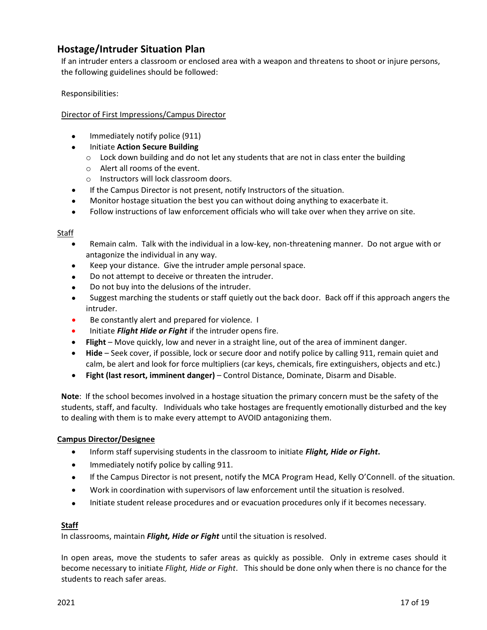### <span id="page-16-0"></span>**Hostage/Intruder Situation Plan**

If an intruder enters a classroom or enclosed area with a weapon and threatens to shoot or injure persons, the following guidelines should be followed:

Responsibilities:

### Director of First Impressions/Campus Director

- Immediately notify police (911)
- Initiate **Action Secure Building**
	- $\circ$  Lock down building and do not let any students that are not in class enter the building
	- o Alert all rooms of the event.
	- o Instructors will lock classroom doors.
- If the Campus Director is not present, notify Instructors of the situation.
- Monitor hostage situation the best you can without doing anything to exacerbate it.
- Follow instructions of law enforcement officials who will take over when they arrive on site.

### Staff

- Remain calm. Talk with the individual in a low-key, non-threatening manner. Do not argue with or antagonize the individual in any way.
- Keep your distance. Give the intruder ample personal space.
- Do not attempt to deceive or threaten the intruder.
- Do not buy into the delusions of the intruder.
- Suggest marching the students or staff quietly out the back door. Back off if this approach angers the intruder.
- Be constantly alert and prepared for violence. I
- Initiate *Flight Hide or Fight* if the intruder opens fire.
- **Flight** Move quickly, low and never in a straight line, out of the area of imminent danger.
- **Hide** Seek cover, if possible, lock or secure door and notify police by calling 911, remain quiet and calm, be alert and look for force multipliers (car keys, chemicals, fire extinguishers, objects and etc.)
- **Fight (last resort, imminent danger)** Control Distance, Dominate, Disarm and Disable.

**Note**: If the school becomes involved in a hostage situation the primary concern must be the safety of the students, staff, and faculty. Individuals who take hostages are frequently emotionally disturbed and the key to dealing with them is to make every attempt to AVOID antagonizing them.

### **Campus Director/Designee**

- Inform staff supervising students in the classroom to initiate *Flight, Hide or Fight***.**
- Immediately notify police by calling 911.
- If the Campus Director is not present, notify the MCA Program Head, Kelly O'Connell. of the situation.
- Work in coordination with supervisors of law enforcement until the situation is resolved.
- Initiate student release procedures and or evacuation procedures only if it becomes necessary.

### **Staff**

In classrooms, maintain *Flight, Hide or Fight* until the situation is resolved.

In open areas, move the students to safer areas as quickly as possible. Only in extreme cases should it become necessary to initiate *Flight, Hide or Fight*. This should be done only when there is no chance for the students to reach safer areas.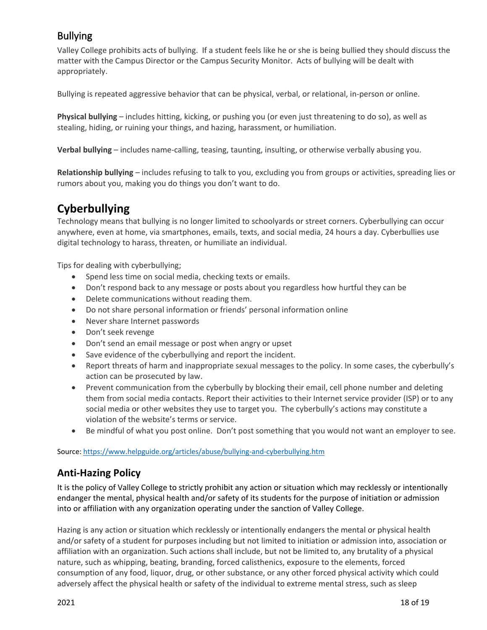### <span id="page-17-0"></span>Bullying

Valley College prohibits acts of bullying. If a student feels like he or she is being bullied they should discuss the matter with the Campus Director or the Campus Security Monitor. Acts of bullying will be dealt with appropriately.

Bullying is repeated aggressive behavior that can be physical, verbal, or relational, in-person or online.

**Physical bullying** – includes hitting, kicking, or pushing you (or even just threatening to do so), as well as stealing, hiding, or ruining your things, and hazing, harassment, or humiliation.

**Verbal bullying** – includes name-calling, teasing, taunting, insulting, or otherwise verbally abusing you.

**Relationship bullying** – includes refusing to talk to you, excluding you from groups or activities, spreading lies or rumors about you, making you do things you don't want to do.

## <span id="page-17-1"></span>**Cyberbullying**

Technology means that bullying is no longer limited to schoolyards or street corners. Cyberbullying can occur anywhere, even at home, via smartphones, emails, texts, and social media, 24 hours a day. Cyberbullies use digital technology to harass, threaten, or humiliate an individual.

Tips for dealing with cyberbullying;

- Spend less time on social media, checking texts or emails.
- Don't respond back to any message or posts about you regardless how hurtful they can be
- Delete communications without reading them.
- Do not share personal information or friends' personal information online
- Never share Internet passwords
- Don't seek revenge
- Don't send an email message or post when angry or upset
- Save evidence of the cyberbullying and report the incident.
- Report threats of harm and inappropriate sexual messages to the policy. In some cases, the cyberbully's action can be prosecuted by law.
- Prevent communication from the cyberbully by blocking their email, cell phone number and deleting them from social media contacts. Report their activities to their Internet service provider (ISP) or to any social media or other websites they use to target you. The cyberbully's actions may constitute a violation of the website's terms or service.
- Be mindful of what you post online. Don't post something that you would not want an employer to see.

Source: https://www.helpguide.org/articles/abuse/bullying-and-cyberbullying.htm

### <span id="page-17-2"></span>**Anti-Hazing Policy**

It is the policy of Valley College to strictly prohibit any action or situation which may recklessly or intentionally endanger the mental, physical health and/or safety of its students for the purpose of initiation or admission into or affiliation with any organization operating under the sanction of Valley College.

Hazing is any action or situation which recklessly or intentionally endangers the mental or physical health and/or safety of a student for purposes including but not limited to initiation or admission into, association or affiliation with an organization. Such actions shall include, but not be limited to, any brutality of a physical nature, such as whipping, beating, branding, forced calisthenics, exposure to the elements, forced consumption of any food, liquor, drug, or other substance, or any other forced physical activity which could adversely affect the physical health or safety of the individual to extreme mental stress, such as sleep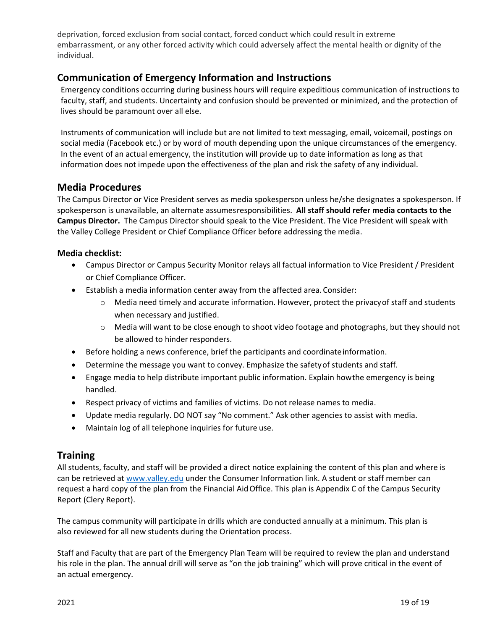deprivation, forced exclusion from social contact, forced conduct which could result in extreme embarrassment, or any other forced activity which could adversely affect the mental health or dignity of the individual.

### <span id="page-18-0"></span>**Communication of Emergency Information and Instructions**

Emergency conditions occurring during business hours will require expeditious communication of instructions to faculty, staff, and students. Uncertainty and confusion should be prevented or minimized, and the protection of lives should be paramount over all else.

Instruments of communication will include but are not limited to text messaging, email, voicemail, postings on social media (Facebook etc.) or by word of mouth depending upon the unique circumstances of the emergency. In the event of an actual emergency, the institution will provide up to date information as long as that information does not impede upon the effectiveness of the plan and risk the safety of any individual.

### <span id="page-18-1"></span>**Media Procedures**

The Campus Director or Vice President serves as media spokesperson unless he/she designates a spokesperson. If spokesperson is unavailable, an alternate assumesresponsibilities. **All staff should refer media contacts to the Campus Director.** The Campus Director should speak to the Vice President. The Vice President will speak with the Valley College President or Chief Compliance Officer before addressing the media.

### **Media checklist:**

- Campus Director or Campus Security Monitor relays all factual information to Vice President / President or Chief Compliance Officer.
- Establish a media information center away from the affected area. Consider:
	- $\circ$  Media need timely and accurate information. However, protect the privacy of staff and students when necessary and justified.
	- o Media will want to be close enough to shoot video footage and photographs, but they should not be allowed to hinder responders.
- Before holding a news conference, brief the participants and coordinate information.
- Determine the message you want to convey. Emphasize the safetyof students and staff.
- Engage media to help distribute important public information. Explain howthe emergency is being handled.
- Respect privacy of victims and families of victims. Do not release names to media.
- Update media regularly. DO NOT say "No comment." Ask other agencies to assist with media.
- Maintain log of all telephone inquiries for future use.

### <span id="page-18-2"></span>**Training**

All students, faculty, and staff will be provided a direct notice explaining the content of this plan and where is can be retrieved at www.valley.edu under the Consumer Information link. A student or staff member can request a hard copy of the plan from the Financial AidOffice. This plan is Appendix C of the Campus Security Report (Clery Report).

The campus community will participate in drills which are conducted annually at a minimum. This plan is also reviewed for all new students during the Orientation process.

Staff and Faculty that are part of the Emergency Plan Team will be required to review the plan and understand his role in the plan. The annual drill will serve as "on the job training" which will prove critical in the event of an actual emergency.